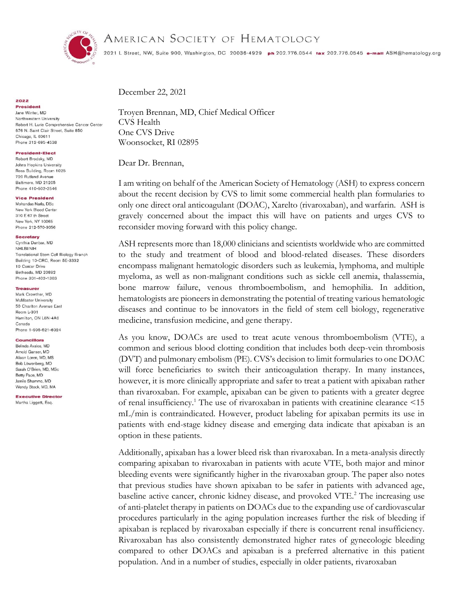

# AMERICAN SOCIETY OF HEMATOLOGY

2021 L Street, NW, Suite 900, Washington, DC 20036-4929 ph 202.776.0544 tax 202.776.0545 e-mail ASH@hematology.org

December 22, 2021

Troyen Brennan, MD, Chief Medical Officer CVS Health One CVS Drive Woonsocket, RI 02895

Dear Dr. Brennan,

I am writing on behalf of the American Society of Hematology (ASH) to express concern about the recent decision by CVS to limit some commercial health plan formularies to only one direct oral anticoagulant (DOAC), Xarelto (rivaroxaban), and warfarin. ASH is gravely concerned about the impact this will have on patients and urges CVS to reconsider moving forward with this policy change.

ASH represents more than 18,000 clinicians and scientists worldwide who are committed to the study and treatment of blood and blood-related diseases. These disorders encompass malignant hematologic disorders such as leukemia, lymphoma, and multiple myeloma, as well as non-malignant conditions such as sickle cell anemia, thalassemia, bone marrow failure, venous thromboembolism, and hemophilia. In addition, hematologists are pioneers in demonstrating the potential of treating various hematologic diseases and continue to be innovators in the field of stem cell biology, regenerative medicine, transfusion medicine, and gene therapy.

As you know, DOACs are used to treat acute venous thromboembolism (VTE), a common and serious blood clotting condition that includes both deep-vein thrombosis (DVT) and pulmonary embolism (PE). CVS's decision to limit formularies to one DOAC will force beneficiaries to switch their anticoagulation therapy. In many instances, however, it is more clinically appropriate and safer to treat a patient with apixaban rather than rivaroxaban. For example, apixaban can be given to patients with a greater degree of renal insufficiency.<sup>1</sup> The use of rivaroxaban in patients with creatinine clearance  $\leq 15$ mL/min is contraindicated. However, product labeling for apixaban permits its use in patients with end-stage kidney disease and emerging data indicate that apixaban is an option in these patients.

Additionally, apixaban has a lower bleed risk than rivaroxaban. In a meta-analysis directly comparing apixaban to rivaroxaban in patients with acute VTE, both major and minor bleeding events were significantly higher in the rivaroxaban group. The paper also notes that previous studies have shown apixaban to be safer in patients with advanced age, baseline active cancer, chronic kidney disease, and provoked VTE.<sup>2</sup> The increasing use of anti-platelet therapy in patients on DOACs due to the expanding use of cardiovascular procedures particularly in the aging population increases further the risk of bleeding if apixaban is replaced by rivaroxaban especially if there is concurrent renal insufficiency. Rivaroxaban has also consistently demonstrated higher rates of gynecologic bleeding compared to other DOACs and apixaban is a preferred alternative in this patient population. And in a number of studies, especially in older patients, rivaroxaban

#### 2022 **President**

Jane Winter, MD Northwestern University Robert H. Lurie Comprehensive Cancer Center 676 N. Saint Clair Street, Suite 850 Chicago, IL 60611 Phone 312-695-4538

# **President-Elect**

Robert Brodsky, MD Johns Hopkins University Ross Building, Room 1025 720 Rutland Avenue Baltimore, MD 21205 Phone 410-502-2546

### **Vice President**

Mohandas Narla, DSc New York Blood Center 310 E 67 th Street New York, NY 10065 Phone 212-570-3056

#### **Secretary**

Cynthia Dunbar, MD NHLBI/NIH Translational Stem Cell Biology Branch Building 10-CRC, Room 5E-3332 10 Center Drive Bethesda, MD 20892 Phone 301-402-1363

# Treasurer

Mark Crowther, MD McMaster University 50 Charlton Avenue East Room L-301 Hamilton, ON L8N-4A6 Canada Phone 1-905-521-6024

#### Councillors

Belinda Avalos MD Arnold Ganser, MD Alison Loren, MD, MS Bob Löwenberg, MD Sarah O'Brien, MD, MSc Betty Pace, MD Jamile Shammo, MD Wendy Stock, MD, MA

**Executive Director** Martha Liggett, Esq.